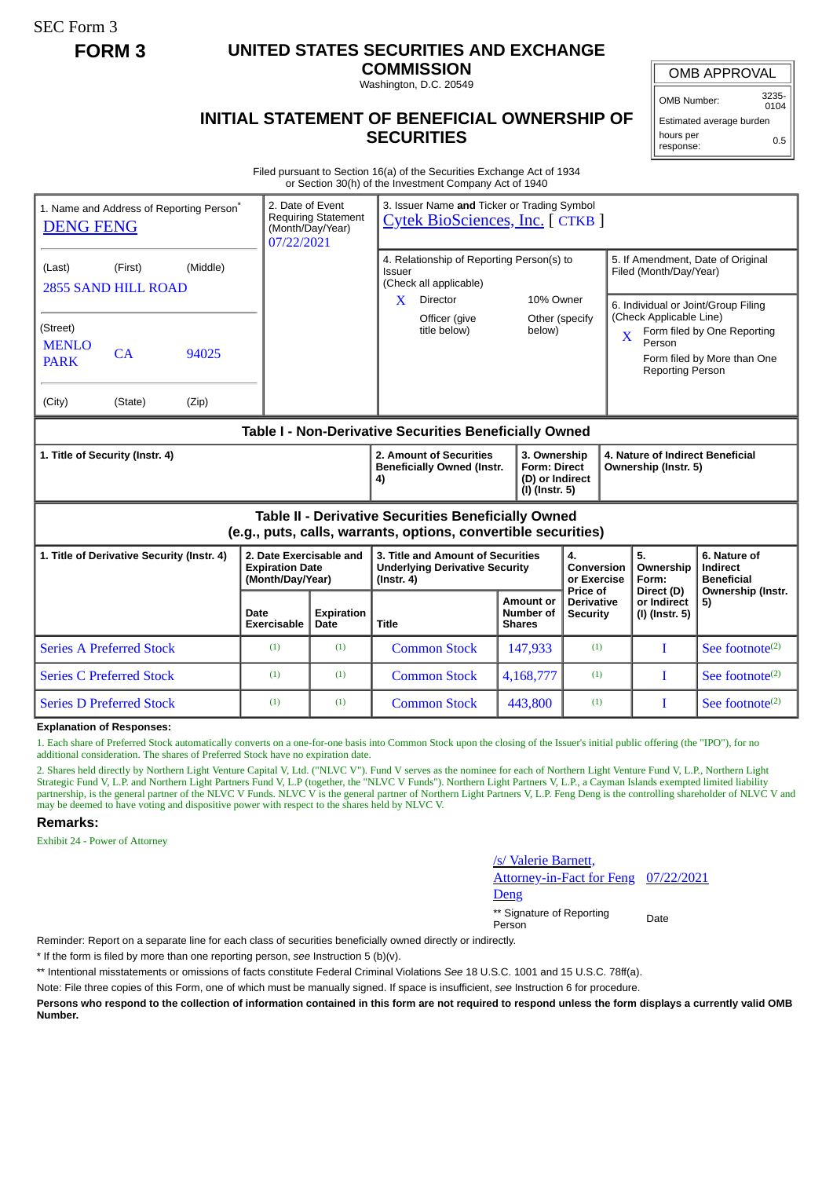SEC Form 3

## **FORM 3 UNITED STATES SECURITIES AND EXCHANGE**

**COMMISSION** Washington, D.C. 20549

OMB APPROVAL

OMB Number: 3235- 0104

## **INITIAL STATEMENT OF BENEFICIAL OWNERSHIP OF SECURITIES**

Estimated average burden hours per response: 0.5

Filed pursuant to Section 16(a) of the Securities Exchange Act of 1934 or Section 30(h) of the Investment Company Act of 1940

| 1. Name and Address of Reporting Person <sup>*</sup><br><b>DENG FENG</b>                                              |                                 |                     | 3. Issuer Name and Ticker or Trading Symbol<br>2. Date of Event<br><b>Requiring Statement</b><br><b>Cytek BioSciences, Inc. [ CTKB ]</b><br>(Month/Day/Year)<br>07/22/2021 |                                                                    |                                                                                                |                                                  |                                                             |                                                                                                                                                                        |                                               |
|-----------------------------------------------------------------------------------------------------------------------|---------------------------------|---------------------|----------------------------------------------------------------------------------------------------------------------------------------------------------------------------|--------------------------------------------------------------------|------------------------------------------------------------------------------------------------|--------------------------------------------------|-------------------------------------------------------------|------------------------------------------------------------------------------------------------------------------------------------------------------------------------|-----------------------------------------------|
| (Middle)<br>(First)<br>(Last)<br><b>2855 SAND HILL ROAD</b>                                                           |                                 |                     |                                                                                                                                                                            |                                                                    | 4. Relationship of Reporting Person(s) to<br>Issuer<br>(Check all applicable)                  |                                                  | 5. If Amendment, Date of Original<br>Filed (Month/Day/Year) |                                                                                                                                                                        |                                               |
| (Street)<br><b>MENLO</b><br><b>PARK</b>                                                                               | 94025<br>CA                     |                     |                                                                                                                                                                            |                                                                    | X<br><b>Director</b><br>Officer (give<br>title below)                                          | 10% Owner<br>Other (specify<br>below)            |                                                             | 6. Individual or Joint/Group Filing<br>(Check Applicable Line)<br>Form filed by One Reporting<br>X<br>Person<br>Form filed by More than One<br><b>Reporting Person</b> |                                               |
| (City)                                                                                                                | (State)                         | (Zip)               |                                                                                                                                                                            |                                                                    |                                                                                                |                                                  |                                                             |                                                                                                                                                                        |                                               |
| Table I - Non-Derivative Securities Beneficially Owned                                                                |                                 |                     |                                                                                                                                                                            |                                                                    |                                                                                                |                                                  |                                                             |                                                                                                                                                                        |                                               |
| 1. Title of Security (Instr. 4)                                                                                       |                                 |                     |                                                                                                                                                                            | 2. Amount of Securities<br><b>Beneficially Owned (Instr.</b><br>4) | 3. Ownership<br><b>Form: Direct</b><br>(D) or Indirect<br>(I) (Instr. 5)                       |                                                  | 4. Nature of Indirect Beneficial<br>Ownership (Instr. 5)    |                                                                                                                                                                        |                                               |
| Table II - Derivative Securities Beneficially Owned<br>(e.g., puts, calls, warrants, options, convertible securities) |                                 |                     |                                                                                                                                                                            |                                                                    |                                                                                                |                                                  |                                                             |                                                                                                                                                                        |                                               |
| 1. Title of Derivative Security (Instr. 4)                                                                            |                                 |                     | 2. Date Exercisable and<br><b>Expiration Date</b><br>(Month/Day/Year)                                                                                                      |                                                                    | 3. Title and Amount of Securities<br><b>Underlying Derivative Security</b><br>$($ lnstr. 4 $)$ |                                                  | 4.<br>Conversion<br>or Exercise                             | 5.<br>Ownership<br>Form:                                                                                                                                               | 6. Nature of<br>Indirect<br><b>Beneficial</b> |
|                                                                                                                       |                                 | Date<br>Exercisable | <b>Expiration</b><br>Date                                                                                                                                                  | <b>Title</b>                                                       | Amount or<br><b>Number of</b><br><b>Shares</b>                                                 | Price of<br><b>Derivative</b><br><b>Security</b> | Direct (D)<br>or Indirect<br>(I) (Instr. 5)                 | Ownership (Instr.<br>5)                                                                                                                                                |                                               |
|                                                                                                                       | <b>Series A Preferred Stock</b> |                     | (1)                                                                                                                                                                        | (1)                                                                | <b>Common Stock</b>                                                                            | 147,933                                          | (1)                                                         | T                                                                                                                                                                      | See footnote $(2)$                            |
|                                                                                                                       | <b>Series C Preferred Stock</b> |                     | (1)                                                                                                                                                                        | (1)                                                                | <b>Common Stock</b>                                                                            | 4,168,777                                        | (1)                                                         | T                                                                                                                                                                      | See footnote $(2)$                            |
|                                                                                                                       | <b>Series D Preferred Stock</b> |                     | (1)                                                                                                                                                                        | (1)                                                                | <b>Common Stock</b>                                                                            | 443,800                                          | (1)                                                         | T                                                                                                                                                                      | See footnote <sup>(2)</sup>                   |

## **Explanation of Responses:**

1. Each share of Preferred Stock automatically converts on a one-for-one basis into Common Stock upon the closing of the Issuer's initial public offering (the "IPO"), for no additional consideration. The shares of Preferred Stock have no expiration date.

2. Shares held directly by Northern Light Venture Capital V, Ltd. ("NLVC V"). Fund V serves as the nominee for each of Northern Light Venture Fund V, L.P., Northern Light Strategic Fund V, L.P. and Northern Light Partners Fund V, L.P (together, the "NLVC V Funds"). Northern Light Partners V, L.P., a Cayman Islands exempted limited liability partnership, is the general partner of the NLVC V Funds. NLVC V is the general partner of Northern Light Partners V, L.P. Feng Deng is the controlling shareholder of NLVC V and may be deemed to have voting and dispositive power with respect to the shares held by NLVC V.

## **Remarks:**

Exhibit 24 - Power of Attorney

/s/ Valerie Barnett, Attorney-in-Fact for Feng Deng 07/22/2021

\*\* Signature of Reporting Person Date

Reminder: Report on a separate line for each class of securities beneficially owned directly or indirectly.

\* If the form is filed by more than one reporting person, *see* Instruction 5 (b)(v).

\*\* Intentional misstatements or omissions of facts constitute Federal Criminal Violations *See* 18 U.S.C. 1001 and 15 U.S.C. 78ff(a).

Note: File three copies of this Form, one of which must be manually signed. If space is insufficient, *see* Instruction 6 for procedure.

**Persons who respond to the collection of information contained in this form are not required to respond unless the form displays a currently valid OMB Number.**